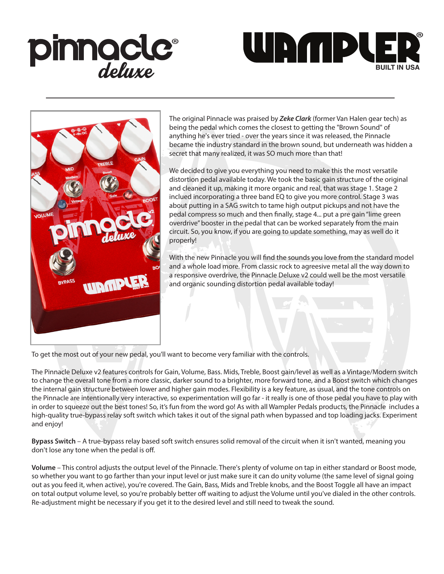





The original Pinnacle was praised by *Zeke Clark* (former Van Halen gear tech) as being the pedal which comes the closest to getting the "Brown Sound" of anything he's ever tried - over the years since it was released, the Pinnacle became the industry standard in the brown sound, but underneath was hidden a secret that many realized, it was SO much more than that!

We decided to give you everything you need to make this the most versatile distortion pedal available today. We took the basic gain structure of the original and cleaned it up, making it more organic and real, that was stage 1. Stage 2 inclued incorporating a three band EQ to give you more control. Stage 3 was about putting in a SAG switch to tame high output pickups and not have the pedal compress so much and then finally, stage 4... put a pre gain "lime green overdrive" booster in the pedal that can be worked separately from the main circuit. So, you know, if you are going to update something, may as well do it properly!

With the new Pinnacle you will find the sounds you love from the standard model and a whole load more. From classic rock to agreesive metal all the way down to a responsive overdrive, the Pinnacle Deluxe v2 could well be the most versatile and organic sounding distortion pedal available today!

To get the most out of your new pedal, you'll want to become very familiar with the controls.

The Pinnacle Deluxe v2 features controls for Gain, Volume, Bass. Mids, Treble, Boost gain/level as well as a Vintage/Modern switch to change the overall tone from a more classic, darker sound to a brighter, more forward tone, and a Boost switch which changes the internal gain structure between lower and higher gain modes. Flexibility is a key feature, as usual, and the tone controls on the Pinnacle are intentionally very interactive, so experimentation will go far - it really is one of those pedal you have to play with in order to squeeze out the best tones! So, it's fun from the word go! As with all Wampler Pedals products, the Pinnacle includes a high-quality true-bypass relay soft switch which takes it out of the signal path when bypassed and top loading jacks. Experiment and enjoy!

**Bypass Switch** – A true-bypass relay based soft switch ensures solid removal of the circuit when it isn't wanted, meaning you don't lose any tone when the pedal is off.

**Volume** – This control adjusts the output level of the Pinnacle. There's plenty of volume on tap in either standard or Boost mode, so whether you want to go farther than your input level or just make sure it can do unity volume (the same level of signal going out as you feed it, when active), you're covered. The Gain, Bass, Mids and Treble knobs, and the Boost Toggle all have an impact on total output volume level, so you're probably better off waiting to adjust the Volume until you've dialed in the other controls. Re-adjustment might be necessary if you get it to the desired level and still need to tweak the sound.